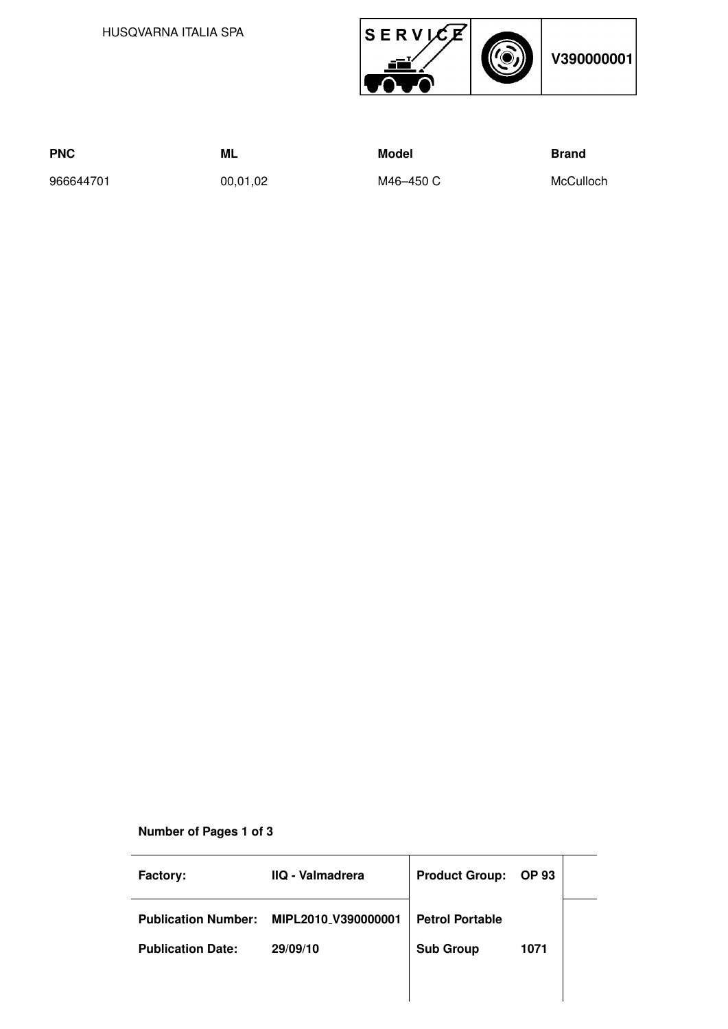HUSQVARNA ITALIA SPA



| <b>PNC</b> | ML       | Model     | Brand     |
|------------|----------|-----------|-----------|
| 966644701  | 00,01,02 | M46–450 C | McCulloch |

## **Number of Pages 1 of 3**

| Factory:                   | IIQ - Valmadrera    | <b>Product Group:</b>  | <b>OP 93</b> |  |
|----------------------------|---------------------|------------------------|--------------|--|
| <b>Publication Number:</b> | MIPL2010 V390000001 | <b>Petrol Portable</b> |              |  |
| <b>Publication Date:</b>   | 29/09/10            | <b>Sub Group</b>       | 1071         |  |
|                            |                     |                        |              |  |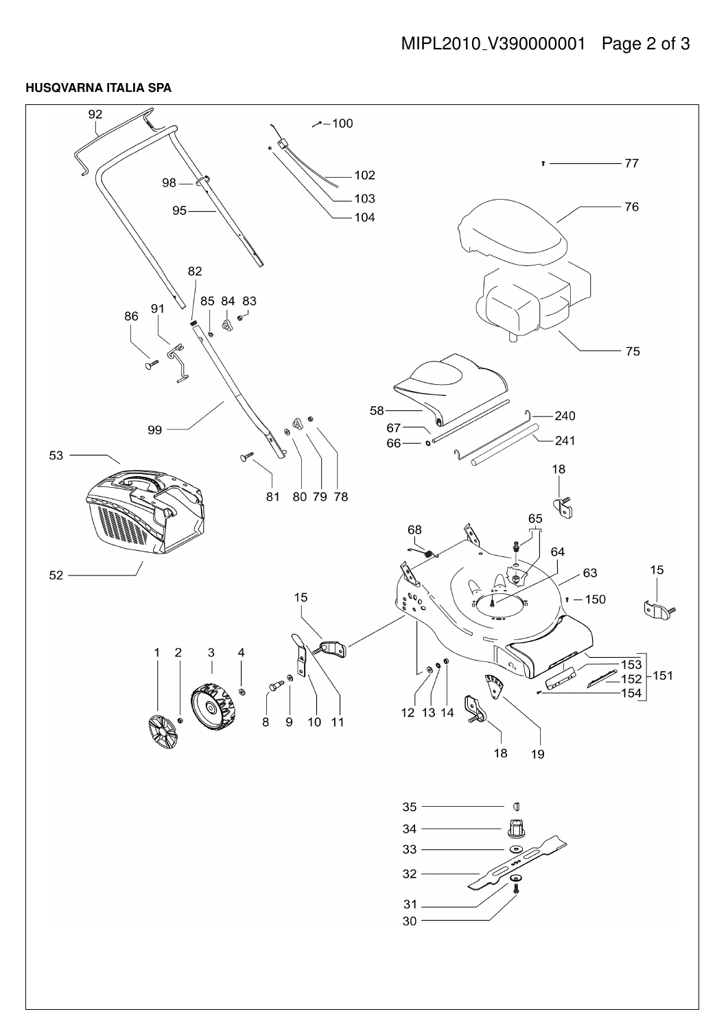## **HUSQVARNA ITALIA SPA**